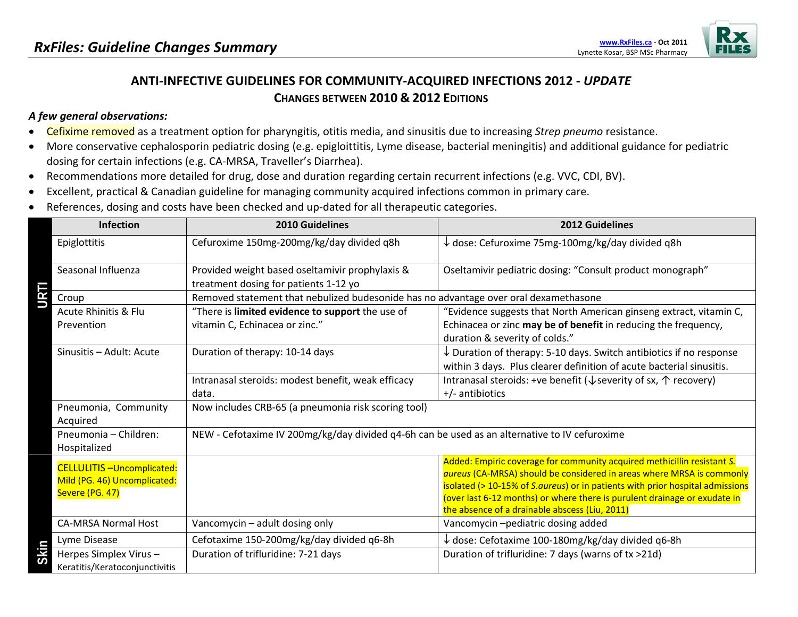

## **ANTI‐INFECTIVE GUIDELINES FOR COMMUNITY‐ACQUIRED INFECTIONS 2012 ‐** *UPDATE* **CHANGES BETWEEN 2010 & 2012 EDITIONS**

## *A few general observations:*

- $\bullet$ Cefixime removed as <sup>a</sup> treatment option for pharyngitis, otitis media, and sinusitis due to increasing *Strep pneumo* resistance.
- • More conservative cephalosporin pediatric dosing (e.g. epigloittitis, Lyme disease, bacterial meningitis) and additional guidance for pediatric dosing for certain infections (e.g. CA‐MRSA, Traveller's Diarrhea).
- •Recommendations more detailed for drug, dose and duration regarding certain recurrent infections (e.g. VVC, CDI, BV).
- •Excellent, practical & Canadian guideline for managing community acquired infections common in primary care.
- •References, dosing and costs have been checked and up-dated for all therapeutic categories.

| <b>Infection</b>                                                                    | <b>2010 Guidelines</b>                                                                        | <b>2012 Guidelines</b>                                                                                                                                                                                                                                                                                                                                           |
|-------------------------------------------------------------------------------------|-----------------------------------------------------------------------------------------------|------------------------------------------------------------------------------------------------------------------------------------------------------------------------------------------------------------------------------------------------------------------------------------------------------------------------------------------------------------------|
| Epiglottitis                                                                        | Cefuroxime 150mg-200mg/kg/day divided q8h                                                     | $\downarrow$ dose: Cefuroxime 75mg-100mg/kg/day divided q8h                                                                                                                                                                                                                                                                                                      |
| Seasonal Influenza<br>URTI                                                          | Provided weight based oseltamivir prophylaxis &<br>treatment dosing for patients 1-12 yo      | Oseltamivir pediatric dosing: "Consult product monograph"                                                                                                                                                                                                                                                                                                        |
| Croup                                                                               | Removed statement that nebulized budesonide has no advantage over oral dexamethasone          |                                                                                                                                                                                                                                                                                                                                                                  |
| <b>Acute Rhinitis &amp; Flu</b><br>Prevention                                       | "There is limited evidence to support the use of<br>vitamin C, Echinacea or zinc."            | "Evidence suggests that North American ginseng extract, vitamin C,<br>Echinacea or zinc may be of benefit in reducing the frequency,<br>duration & severity of colds."                                                                                                                                                                                           |
| Sinusitis - Adult: Acute                                                            | Duration of therapy: 10-14 days                                                               | $\downarrow$ Duration of therapy: 5-10 days. Switch antibiotics if no response<br>within 3 days. Plus clearer definition of acute bacterial sinusitis.                                                                                                                                                                                                           |
|                                                                                     | Intranasal steroids: modest benefit, weak efficacy<br>data.                                   | Intranasal steroids: +ve benefit ( $\sqrt{x}$ severity of sx, $\uparrow$ recovery)<br>$+/-$ antibiotics                                                                                                                                                                                                                                                          |
| Pneumonia, Community<br>Acquired                                                    | Now includes CRB-65 (a pneumonia risk scoring tool)                                           |                                                                                                                                                                                                                                                                                                                                                                  |
| Pneumonia - Children:<br>Hospitalized                                               | NEW - Cefotaxime IV 200mg/kg/day divided q4-6h can be used as an alternative to IV cefuroxime |                                                                                                                                                                                                                                                                                                                                                                  |
| <b>CELLULITIS-Uncomplicated:</b><br>Mild (PG. 46) Uncomplicated:<br>Severe (PG. 47) |                                                                                               | Added: Empiric coverage for community acquired methicillin resistant S.<br>aureus (CA-MRSA) should be considered in areas where MRSA is commonly<br>isolated (> 10-15% of S.aureus) or in patients with prior hospital admissions<br>(over last 6-12 months) or where there is purulent drainage or exudate in<br>the absence of a drainable abscess (Liu, 2011) |
| <b>CA-MRSA Normal Host</b>                                                          | Vancomycin - adult dosing only                                                                | Vancomycin-pediatric dosing added                                                                                                                                                                                                                                                                                                                                |
| Lyme Disease                                                                        | Cefotaxime 150-200mg/kg/day divided q6-8h                                                     | $\downarrow$ dose: Cefotaxime 100-180mg/kg/day divided q6-8h                                                                                                                                                                                                                                                                                                     |
| Skin<br>Herpes Simplex Virus-<br>Keratitis/Keratoconjunctivitis                     | Duration of trifluridine: 7-21 days                                                           | Duration of trifluridine: 7 days (warns of tx >21d)                                                                                                                                                                                                                                                                                                              |